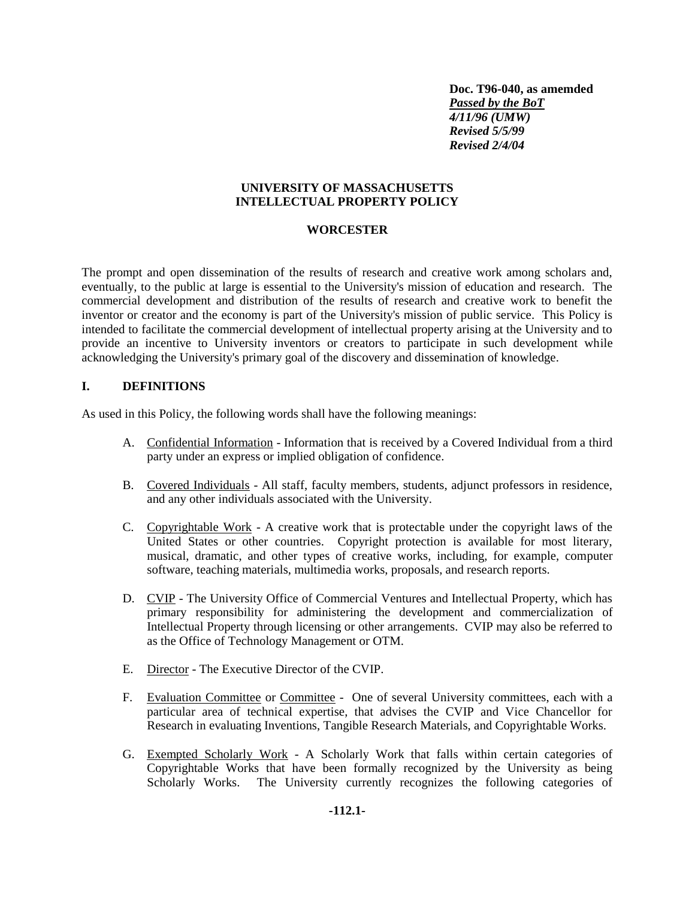**Doc. T96-040, as amemded** *Passed by the BoT 4/11/96 (UMW) Revised 5/5/99 Revised 2/4/04*

### **UNIVERSITY OF MASSACHUSETTS INTELLECTUAL PROPERTY POLICY**

#### **WORCESTER**

The prompt and open dissemination of the results of research and creative work among scholars and, eventually, to the public at large is essential to the University's mission of education and research. The commercial development and distribution of the results of research and creative work to benefit the inventor or creator and the economy is part of the University's mission of public service. This Policy is intended to facilitate the commercial development of intellectual property arising at the University and to provide an incentive to University inventors or creators to participate in such development while acknowledging the University's primary goal of the discovery and dissemination of knowledge.

### **I. DEFINITIONS**

As used in this Policy, the following words shall have the following meanings:

- A. Confidential Information Information that is received by a Covered Individual from a third party under an express or implied obligation of confidence.
- B. Covered Individuals All staff, faculty members, students, adjunct professors in residence, and any other individuals associated with the University.
- C. Copyrightable Work A creative work that is protectable under the copyright laws of the United States or other countries. Copyright protection is available for most literary, musical, dramatic, and other types of creative works, including, for example, computer software, teaching materials, multimedia works, proposals, and research reports.
- D. CVIP The University Office of Commercial Ventures and Intellectual Property, which has primary responsibility for administering the development and commercialization of Intellectual Property through licensing or other arrangements. CVIP may also be referred to as the Office of Technology Management or OTM.
- E. Director The Executive Director of the CVIP.
- F. Evaluation Committee or Committee One of several University committees, each with a particular area of technical expertise, that advises the CVIP and Vice Chancellor for Research in evaluating Inventions, Tangible Research Materials, and Copyrightable Works.
- G. Exempted Scholarly Work A Scholarly Work that falls within certain categories of Copyrightable Works that have been formally recognized by the University as being Scholarly Works. The University currently recognizes the following categories of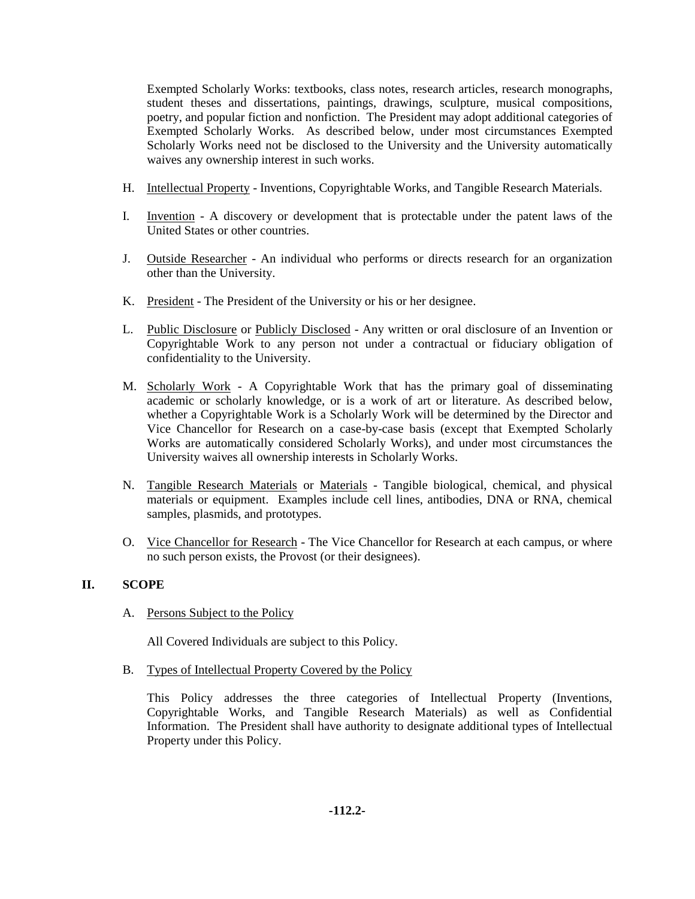Exempted Scholarly Works: textbooks, class notes, research articles, research monographs, student theses and dissertations, paintings, drawings, sculpture, musical compositions, poetry, and popular fiction and nonfiction. The President may adopt additional categories of Exempted Scholarly Works. As described below, under most circumstances Exempted Scholarly Works need not be disclosed to the University and the University automatically waives any ownership interest in such works.

- H. Intellectual Property Inventions, Copyrightable Works, and Tangible Research Materials.
- I. Invention A discovery or development that is protectable under the patent laws of the United States or other countries.
- J. Outside Researcher An individual who performs or directs research for an organization other than the University.
- K. President The President of the University or his or her designee.
- L. Public Disclosure or Publicly Disclosed Any written or oral disclosure of an Invention or Copyrightable Work to any person not under a contractual or fiduciary obligation of confidentiality to the University.
- M. Scholarly Work A Copyrightable Work that has the primary goal of disseminating academic or scholarly knowledge, or is a work of art or literature. As described below, whether a Copyrightable Work is a Scholarly Work will be determined by the Director and Vice Chancellor for Research on a case-by-case basis (except that Exempted Scholarly Works are automatically considered Scholarly Works), and under most circumstances the University waives all ownership interests in Scholarly Works.
- N. Tangible Research Materials or Materials Tangible biological, chemical, and physical materials or equipment. Examples include cell lines, antibodies, DNA or RNA, chemical samples, plasmids, and prototypes.
- O. Vice Chancellor for Research The Vice Chancellor for Research at each campus, or where no such person exists, the Provost (or their designees).

# **II. SCOPE**

A. Persons Subject to the Policy

All Covered Individuals are subject to this Policy.

B. Types of Intellectual Property Covered by the Policy

This Policy addresses the three categories of Intellectual Property (Inventions, Copyrightable Works, and Tangible Research Materials) as well as Confidential Information. The President shall have authority to designate additional types of Intellectual Property under this Policy.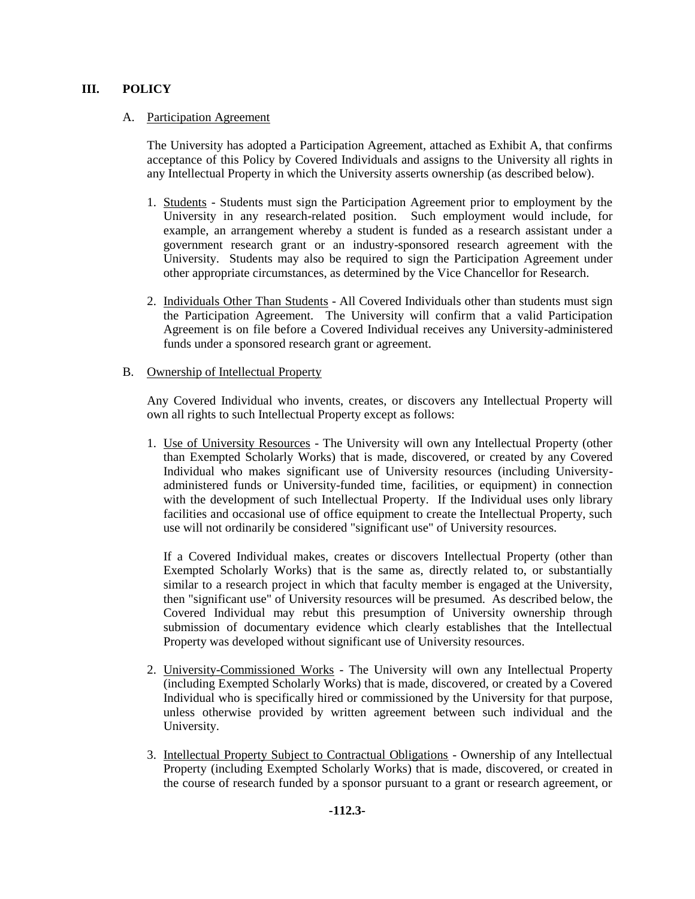## **III. POLICY**

### A. Participation Agreement

The University has adopted a Participation Agreement, attached as Exhibit A, that confirms acceptance of this Policy by Covered Individuals and assigns to the University all rights in any Intellectual Property in which the University asserts ownership (as described below).

- 1. Students Students must sign the Participation Agreement prior to employment by the University in any research-related position. Such employment would include, for example, an arrangement whereby a student is funded as a research assistant under a government research grant or an industry-sponsored research agreement with the University. Students may also be required to sign the Participation Agreement under other appropriate circumstances, as determined by the Vice Chancellor for Research.
- 2. Individuals Other Than Students All Covered Individuals other than students must sign the Participation Agreement. The University will confirm that a valid Participation Agreement is on file before a Covered Individual receives any University-administered funds under a sponsored research grant or agreement.

#### B. Ownership of Intellectual Property

Any Covered Individual who invents, creates, or discovers any Intellectual Property will own all rights to such Intellectual Property except as follows:

1. Use of University Resources - The University will own any Intellectual Property (other than Exempted Scholarly Works) that is made, discovered, or created by any Covered Individual who makes significant use of University resources (including Universityadministered funds or University-funded time, facilities, or equipment) in connection with the development of such Intellectual Property. If the Individual uses only library facilities and occasional use of office equipment to create the Intellectual Property, such use will not ordinarily be considered "significant use" of University resources.

If a Covered Individual makes, creates or discovers Intellectual Property (other than Exempted Scholarly Works) that is the same as, directly related to, or substantially similar to a research project in which that faculty member is engaged at the University, then "significant use" of University resources will be presumed. As described below, the Covered Individual may rebut this presumption of University ownership through submission of documentary evidence which clearly establishes that the Intellectual Property was developed without significant use of University resources.

- 2. University-Commissioned Works The University will own any Intellectual Property (including Exempted Scholarly Works) that is made, discovered, or created by a Covered Individual who is specifically hired or commissioned by the University for that purpose, unless otherwise provided by written agreement between such individual and the University.
- 3. Intellectual Property Subject to Contractual Obligations Ownership of any Intellectual Property (including Exempted Scholarly Works) that is made, discovered, or created in the course of research funded by a sponsor pursuant to a grant or research agreement, or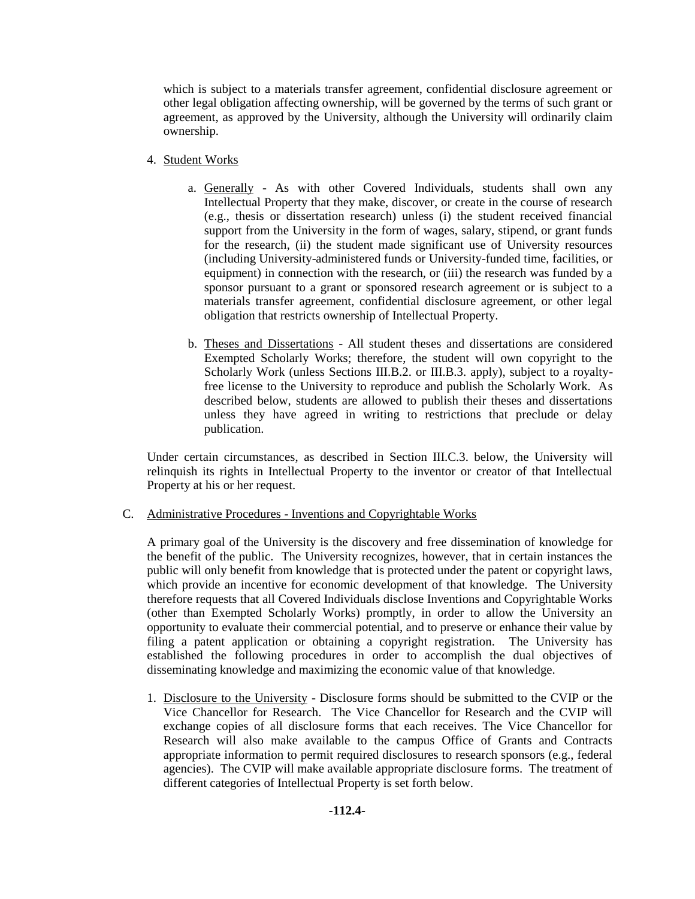which is subject to a materials transfer agreement, confidential disclosure agreement or other legal obligation affecting ownership, will be governed by the terms of such grant or agreement, as approved by the University, although the University will ordinarily claim ownership.

- 4. Student Works
	- a. Generally As with other Covered Individuals, students shall own any Intellectual Property that they make, discover, or create in the course of research (e.g., thesis or dissertation research) unless (i) the student received financial support from the University in the form of wages, salary, stipend, or grant funds for the research, (ii) the student made significant use of University resources (including University-administered funds or University-funded time, facilities, or equipment) in connection with the research, or (iii) the research was funded by a sponsor pursuant to a grant or sponsored research agreement or is subject to a materials transfer agreement, confidential disclosure agreement, or other legal obligation that restricts ownership of Intellectual Property.
	- b. Theses and Dissertations All student theses and dissertations are considered Exempted Scholarly Works; therefore, the student will own copyright to the Scholarly Work (unless Sections III.B.2. or III.B.3. apply), subject to a royaltyfree license to the University to reproduce and publish the Scholarly Work. As described below, students are allowed to publish their theses and dissertations unless they have agreed in writing to restrictions that preclude or delay publication.

Under certain circumstances, as described in Section III.C.3. below, the University will relinquish its rights in Intellectual Property to the inventor or creator of that Intellectual Property at his or her request.

C. Administrative Procedures - Inventions and Copyrightable Works

A primary goal of the University is the discovery and free dissemination of knowledge for the benefit of the public. The University recognizes, however, that in certain instances the public will only benefit from knowledge that is protected under the patent or copyright laws, which provide an incentive for economic development of that knowledge. The University therefore requests that all Covered Individuals disclose Inventions and Copyrightable Works (other than Exempted Scholarly Works) promptly, in order to allow the University an opportunity to evaluate their commercial potential, and to preserve or enhance their value by filing a patent application or obtaining a copyright registration. The University has established the following procedures in order to accomplish the dual objectives of disseminating knowledge and maximizing the economic value of that knowledge.

1. Disclosure to the University - Disclosure forms should be submitted to the CVIP or the Vice Chancellor for Research. The Vice Chancellor for Research and the CVIP will exchange copies of all disclosure forms that each receives. The Vice Chancellor for Research will also make available to the campus Office of Grants and Contracts appropriate information to permit required disclosures to research sponsors (e.g., federal agencies). The CVIP will make available appropriate disclosure forms. The treatment of different categories of Intellectual Property is set forth below.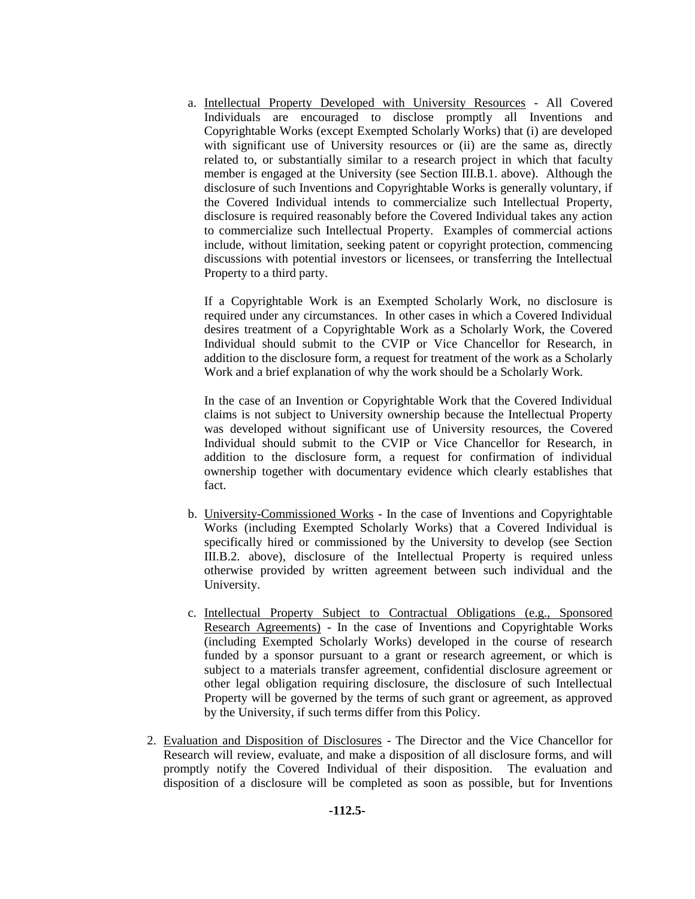a. Intellectual Property Developed with University Resources - All Covered Individuals are encouraged to disclose promptly all Inventions and Copyrightable Works (except Exempted Scholarly Works) that (i) are developed with significant use of University resources or (ii) are the same as, directly related to, or substantially similar to a research project in which that faculty member is engaged at the University (see Section III.B.1. above). Although the disclosure of such Inventions and Copyrightable Works is generally voluntary, if the Covered Individual intends to commercialize such Intellectual Property, disclosure is required reasonably before the Covered Individual takes any action to commercialize such Intellectual Property. Examples of commercial actions include, without limitation, seeking patent or copyright protection, commencing discussions with potential investors or licensees, or transferring the Intellectual Property to a third party.

If a Copyrightable Work is an Exempted Scholarly Work, no disclosure is required under any circumstances. In other cases in which a Covered Individual desires treatment of a Copyrightable Work as a Scholarly Work, the Covered Individual should submit to the CVIP or Vice Chancellor for Research, in addition to the disclosure form, a request for treatment of the work as a Scholarly Work and a brief explanation of why the work should be a Scholarly Work.

In the case of an Invention or Copyrightable Work that the Covered Individual claims is not subject to University ownership because the Intellectual Property was developed without significant use of University resources, the Covered Individual should submit to the CVIP or Vice Chancellor for Research, in addition to the disclosure form, a request for confirmation of individual ownership together with documentary evidence which clearly establishes that fact.

- b. University-Commissioned Works In the case of Inventions and Copyrightable Works (including Exempted Scholarly Works) that a Covered Individual is specifically hired or commissioned by the University to develop (see Section III.B.2. above), disclosure of the Intellectual Property is required unless otherwise provided by written agreement between such individual and the University.
- c. Intellectual Property Subject to Contractual Obligations (e.g., Sponsored Research Agreements) - In the case of Inventions and Copyrightable Works (including Exempted Scholarly Works) developed in the course of research funded by a sponsor pursuant to a grant or research agreement, or which is subject to a materials transfer agreement, confidential disclosure agreement or other legal obligation requiring disclosure, the disclosure of such Intellectual Property will be governed by the terms of such grant or agreement, as approved by the University, if such terms differ from this Policy.
- 2. Evaluation and Disposition of Disclosures The Director and the Vice Chancellor for Research will review, evaluate, and make a disposition of all disclosure forms, and will promptly notify the Covered Individual of their disposition. The evaluation and disposition of a disclosure will be completed as soon as possible, but for Inventions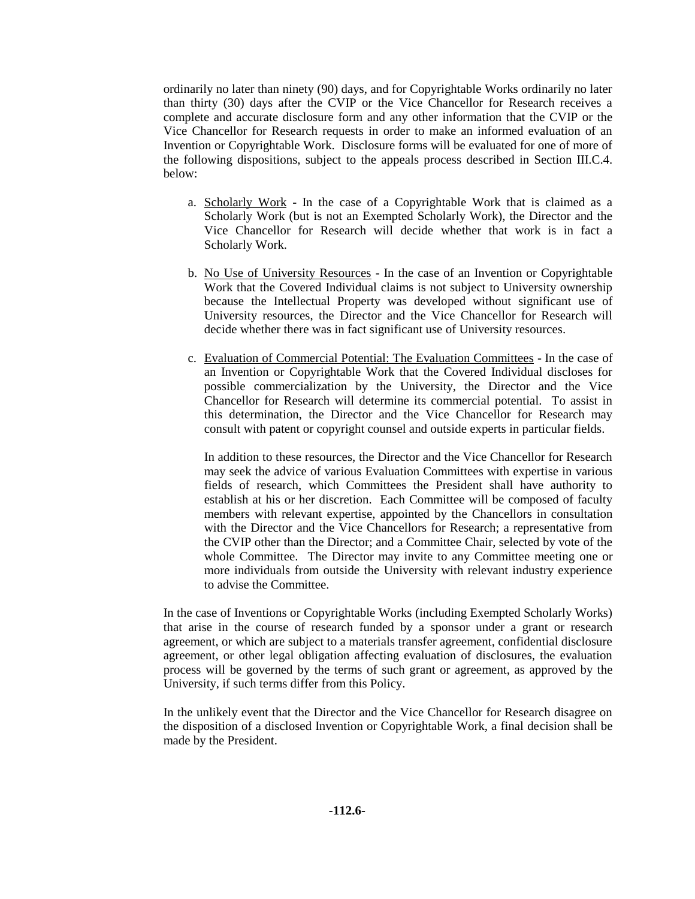ordinarily no later than ninety (90) days, and for Copyrightable Works ordinarily no later than thirty (30) days after the CVIP or the Vice Chancellor for Research receives a complete and accurate disclosure form and any other information that the CVIP or the Vice Chancellor for Research requests in order to make an informed evaluation of an Invention or Copyrightable Work. Disclosure forms will be evaluated for one of more of the following dispositions, subject to the appeals process described in Section III.C.4. below:

- a. Scholarly Work In the case of a Copyrightable Work that is claimed as a Scholarly Work (but is not an Exempted Scholarly Work), the Director and the Vice Chancellor for Research will decide whether that work is in fact a Scholarly Work.
- b. No Use of University Resources In the case of an Invention or Copyrightable Work that the Covered Individual claims is not subject to University ownership because the Intellectual Property was developed without significant use of University resources, the Director and the Vice Chancellor for Research will decide whether there was in fact significant use of University resources.
- c. Evaluation of Commercial Potential: The Evaluation Committees In the case of an Invention or Copyrightable Work that the Covered Individual discloses for possible commercialization by the University, the Director and the Vice Chancellor for Research will determine its commercial potential. To assist in this determination, the Director and the Vice Chancellor for Research may consult with patent or copyright counsel and outside experts in particular fields.

In addition to these resources, the Director and the Vice Chancellor for Research may seek the advice of various Evaluation Committees with expertise in various fields of research, which Committees the President shall have authority to establish at his or her discretion. Each Committee will be composed of faculty members with relevant expertise, appointed by the Chancellors in consultation with the Director and the Vice Chancellors for Research; a representative from the CVIP other than the Director; and a Committee Chair, selected by vote of the whole Committee. The Director may invite to any Committee meeting one or more individuals from outside the University with relevant industry experience to advise the Committee.

In the case of Inventions or Copyrightable Works (including Exempted Scholarly Works) that arise in the course of research funded by a sponsor under a grant or research agreement, or which are subject to a materials transfer agreement, confidential disclosure agreement, or other legal obligation affecting evaluation of disclosures, the evaluation process will be governed by the terms of such grant or agreement, as approved by the University, if such terms differ from this Policy.

In the unlikely event that the Director and the Vice Chancellor for Research disagree on the disposition of a disclosed Invention or Copyrightable Work, a final decision shall be made by the President.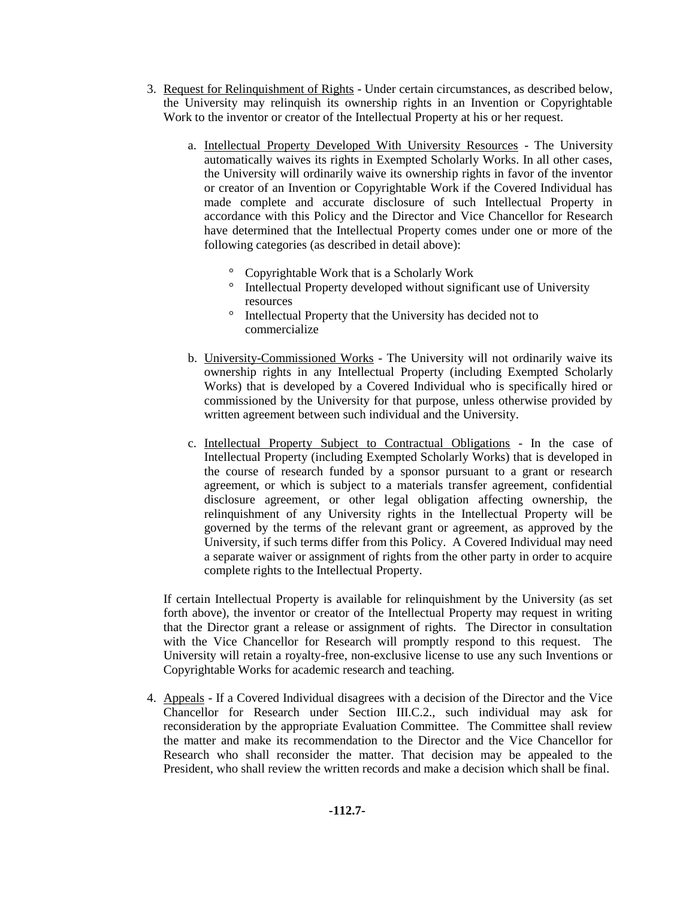- 3. Request for Relinquishment of Rights Under certain circumstances, as described below, the University may relinquish its ownership rights in an Invention or Copyrightable Work to the inventor or creator of the Intellectual Property at his or her request.
	- a. Intellectual Property Developed With University Resources The University automatically waives its rights in Exempted Scholarly Works. In all other cases, the University will ordinarily waive its ownership rights in favor of the inventor or creator of an Invention or Copyrightable Work if the Covered Individual has made complete and accurate disclosure of such Intellectual Property in accordance with this Policy and the Director and Vice Chancellor for Research have determined that the Intellectual Property comes under one or more of the following categories (as described in detail above):
		- ° Copyrightable Work that is a Scholarly Work
		- ° Intellectual Property developed without significant use of University resources
		- ° Intellectual Property that the University has decided not to commercialize
	- b. University-Commissioned Works The University will not ordinarily waive its ownership rights in any Intellectual Property (including Exempted Scholarly Works) that is developed by a Covered Individual who is specifically hired or commissioned by the University for that purpose, unless otherwise provided by written agreement between such individual and the University.
	- c. Intellectual Property Subject to Contractual Obligations In the case of Intellectual Property (including Exempted Scholarly Works) that is developed in the course of research funded by a sponsor pursuant to a grant or research agreement, or which is subject to a materials transfer agreement, confidential disclosure agreement, or other legal obligation affecting ownership, the relinquishment of any University rights in the Intellectual Property will be governed by the terms of the relevant grant or agreement, as approved by the University, if such terms differ from this Policy. A Covered Individual may need a separate waiver or assignment of rights from the other party in order to acquire complete rights to the Intellectual Property.

If certain Intellectual Property is available for relinquishment by the University (as set forth above), the inventor or creator of the Intellectual Property may request in writing that the Director grant a release or assignment of rights. The Director in consultation with the Vice Chancellor for Research will promptly respond to this request. The University will retain a royalty-free, non-exclusive license to use any such Inventions or Copyrightable Works for academic research and teaching.

4. Appeals - If a Covered Individual disagrees with a decision of the Director and the Vice Chancellor for Research under Section III.C.2., such individual may ask for reconsideration by the appropriate Evaluation Committee. The Committee shall review the matter and make its recommendation to the Director and the Vice Chancellor for Research who shall reconsider the matter. That decision may be appealed to the President, who shall review the written records and make a decision which shall be final.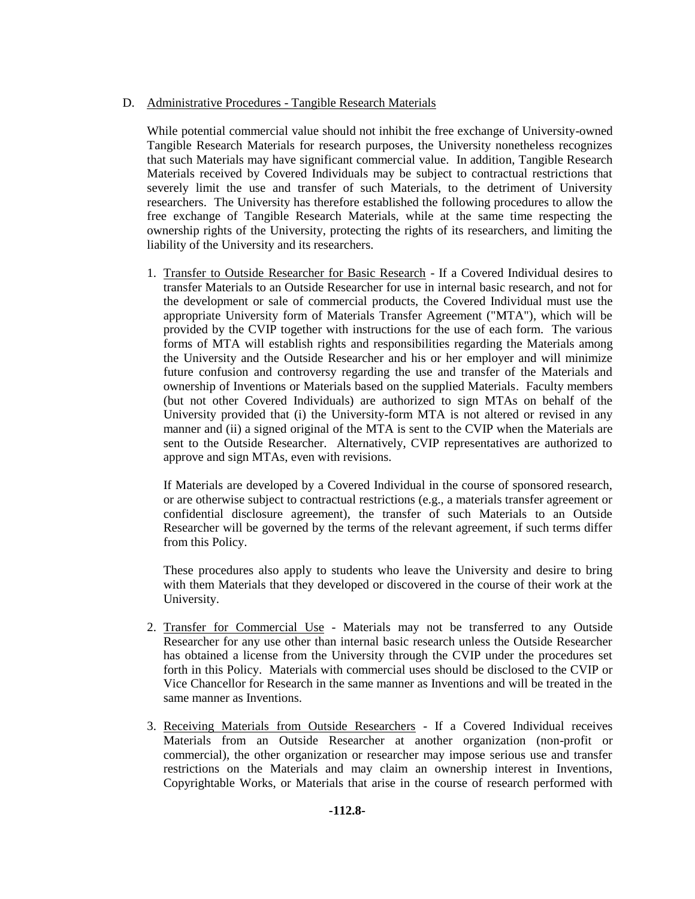### D. Administrative Procedures - Tangible Research Materials

While potential commercial value should not inhibit the free exchange of University-owned Tangible Research Materials for research purposes, the University nonetheless recognizes that such Materials may have significant commercial value. In addition, Tangible Research Materials received by Covered Individuals may be subject to contractual restrictions that severely limit the use and transfer of such Materials, to the detriment of University researchers. The University has therefore established the following procedures to allow the free exchange of Tangible Research Materials, while at the same time respecting the ownership rights of the University, protecting the rights of its researchers, and limiting the liability of the University and its researchers.

1. Transfer to Outside Researcher for Basic Research - If a Covered Individual desires to transfer Materials to an Outside Researcher for use in internal basic research, and not for the development or sale of commercial products, the Covered Individual must use the appropriate University form of Materials Transfer Agreement ("MTA"), which will be provided by the CVIP together with instructions for the use of each form. The various forms of MTA will establish rights and responsibilities regarding the Materials among the University and the Outside Researcher and his or her employer and will minimize future confusion and controversy regarding the use and transfer of the Materials and ownership of Inventions or Materials based on the supplied Materials. Faculty members (but not other Covered Individuals) are authorized to sign MTAs on behalf of the University provided that (i) the University-form MTA is not altered or revised in any manner and (ii) a signed original of the MTA is sent to the CVIP when the Materials are sent to the Outside Researcher. Alternatively, CVIP representatives are authorized to approve and sign MTAs, even with revisions.

If Materials are developed by a Covered Individual in the course of sponsored research, or are otherwise subject to contractual restrictions (e.g., a materials transfer agreement or confidential disclosure agreement), the transfer of such Materials to an Outside Researcher will be governed by the terms of the relevant agreement, if such terms differ from this Policy.

These procedures also apply to students who leave the University and desire to bring with them Materials that they developed or discovered in the course of their work at the University.

- 2. Transfer for Commercial Use Materials may not be transferred to any Outside Researcher for any use other than internal basic research unless the Outside Researcher has obtained a license from the University through the CVIP under the procedures set forth in this Policy. Materials with commercial uses should be disclosed to the CVIP or Vice Chancellor for Research in the same manner as Inventions and will be treated in the same manner as Inventions.
- 3. Receiving Materials from Outside Researchers If a Covered Individual receives Materials from an Outside Researcher at another organization (non-profit or commercial), the other organization or researcher may impose serious use and transfer restrictions on the Materials and may claim an ownership interest in Inventions, Copyrightable Works, or Materials that arise in the course of research performed with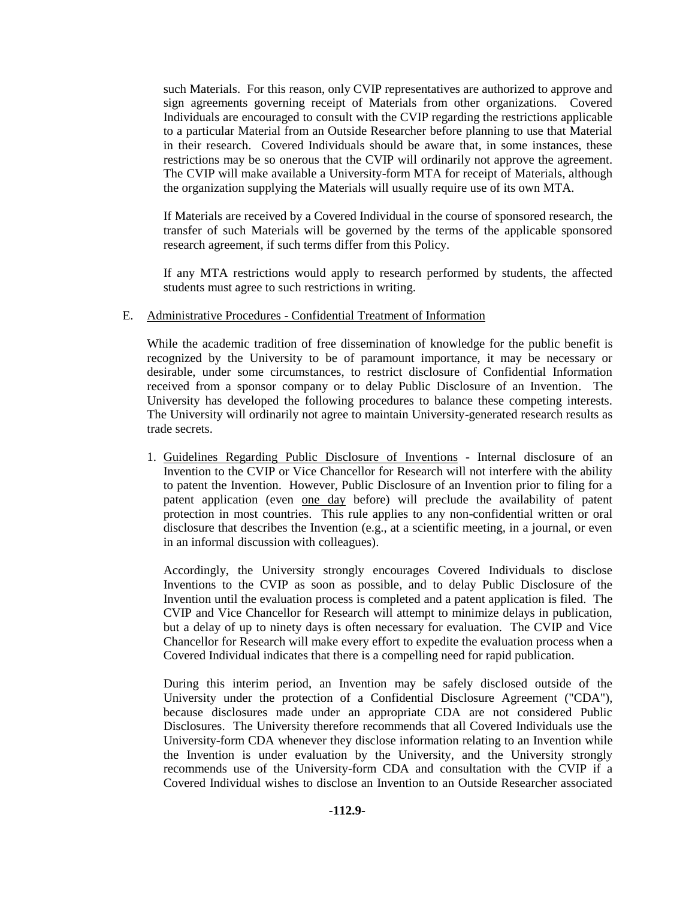such Materials. For this reason, only CVIP representatives are authorized to approve and sign agreements governing receipt of Materials from other organizations. Covered Individuals are encouraged to consult with the CVIP regarding the restrictions applicable to a particular Material from an Outside Researcher before planning to use that Material in their research. Covered Individuals should be aware that, in some instances, these restrictions may be so onerous that the CVIP will ordinarily not approve the agreement. The CVIP will make available a University-form MTA for receipt of Materials, although the organization supplying the Materials will usually require use of its own MTA.

If Materials are received by a Covered Individual in the course of sponsored research, the transfer of such Materials will be governed by the terms of the applicable sponsored research agreement, if such terms differ from this Policy.

If any MTA restrictions would apply to research performed by students, the affected students must agree to such restrictions in writing.

### E. Administrative Procedures - Confidential Treatment of Information

While the academic tradition of free dissemination of knowledge for the public benefit is recognized by the University to be of paramount importance, it may be necessary or desirable, under some circumstances, to restrict disclosure of Confidential Information received from a sponsor company or to delay Public Disclosure of an Invention. The University has developed the following procedures to balance these competing interests. The University will ordinarily not agree to maintain University-generated research results as trade secrets.

1. Guidelines Regarding Public Disclosure of Inventions - Internal disclosure of an Invention to the CVIP or Vice Chancellor for Research will not interfere with the ability to patent the Invention. However, Public Disclosure of an Invention prior to filing for a patent application (even one day before) will preclude the availability of patent protection in most countries. This rule applies to any non-confidential written or oral disclosure that describes the Invention (e.g., at a scientific meeting, in a journal, or even in an informal discussion with colleagues).

Accordingly, the University strongly encourages Covered Individuals to disclose Inventions to the CVIP as soon as possible, and to delay Public Disclosure of the Invention until the evaluation process is completed and a patent application is filed. The CVIP and Vice Chancellor for Research will attempt to minimize delays in publication, but a delay of up to ninety days is often necessary for evaluation. The CVIP and Vice Chancellor for Research will make every effort to expedite the evaluation process when a Covered Individual indicates that there is a compelling need for rapid publication.

During this interim period, an Invention may be safely disclosed outside of the University under the protection of a Confidential Disclosure Agreement ("CDA"), because disclosures made under an appropriate CDA are not considered Public Disclosures. The University therefore recommends that all Covered Individuals use the University-form CDA whenever they disclose information relating to an Invention while the Invention is under evaluation by the University, and the University strongly recommends use of the University-form CDA and consultation with the CVIP if a Covered Individual wishes to disclose an Invention to an Outside Researcher associated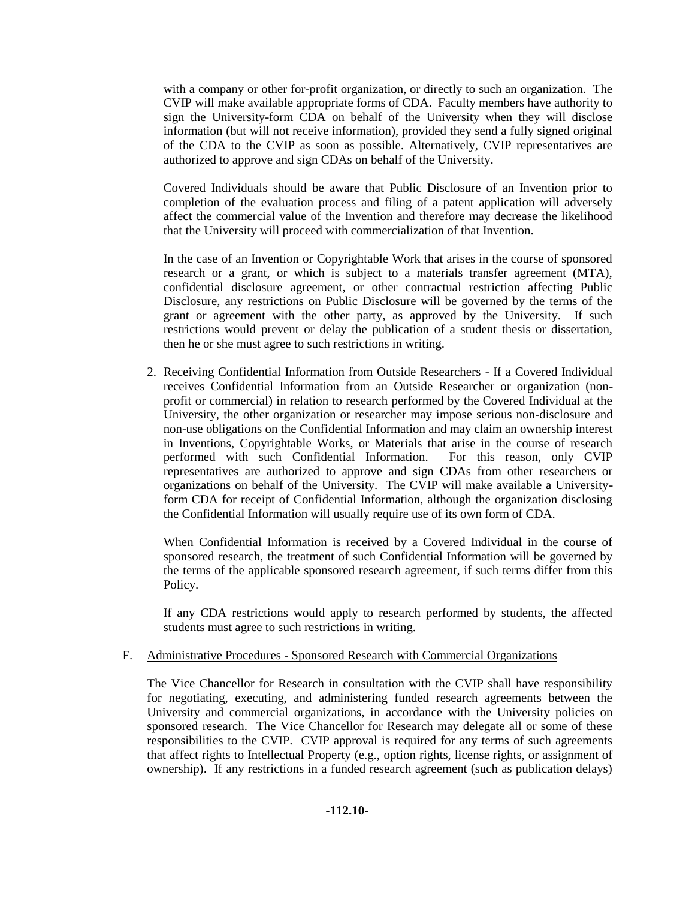with a company or other for-profit organization, or directly to such an organization. The CVIP will make available appropriate forms of CDA. Faculty members have authority to sign the University-form CDA on behalf of the University when they will disclose information (but will not receive information), provided they send a fully signed original of the CDA to the CVIP as soon as possible. Alternatively, CVIP representatives are authorized to approve and sign CDAs on behalf of the University.

Covered Individuals should be aware that Public Disclosure of an Invention prior to completion of the evaluation process and filing of a patent application will adversely affect the commercial value of the Invention and therefore may decrease the likelihood that the University will proceed with commercialization of that Invention.

In the case of an Invention or Copyrightable Work that arises in the course of sponsored research or a grant, or which is subject to a materials transfer agreement (MTA), confidential disclosure agreement, or other contractual restriction affecting Public Disclosure, any restrictions on Public Disclosure will be governed by the terms of the grant or agreement with the other party, as approved by the University. If such restrictions would prevent or delay the publication of a student thesis or dissertation, then he or she must agree to such restrictions in writing.

2. Receiving Confidential Information from Outside Researchers - If a Covered Individual receives Confidential Information from an Outside Researcher or organization (nonprofit or commercial) in relation to research performed by the Covered Individual at the University, the other organization or researcher may impose serious non-disclosure and non-use obligations on the Confidential Information and may claim an ownership interest in Inventions, Copyrightable Works, or Materials that arise in the course of research performed with such Confidential Information. For this reason, only CVIP representatives are authorized to approve and sign CDAs from other researchers or organizations on behalf of the University. The CVIP will make available a Universityform CDA for receipt of Confidential Information, although the organization disclosing the Confidential Information will usually require use of its own form of CDA.

When Confidential Information is received by a Covered Individual in the course of sponsored research, the treatment of such Confidential Information will be governed by the terms of the applicable sponsored research agreement, if such terms differ from this Policy.

If any CDA restrictions would apply to research performed by students, the affected students must agree to such restrictions in writing.

### F. Administrative Procedures - Sponsored Research with Commercial Organizations

The Vice Chancellor for Research in consultation with the CVIP shall have responsibility for negotiating, executing, and administering funded research agreements between the University and commercial organizations, in accordance with the University policies on sponsored research. The Vice Chancellor for Research may delegate all or some of these responsibilities to the CVIP. CVIP approval is required for any terms of such agreements that affect rights to Intellectual Property (e.g., option rights, license rights, or assignment of ownership). If any restrictions in a funded research agreement (such as publication delays)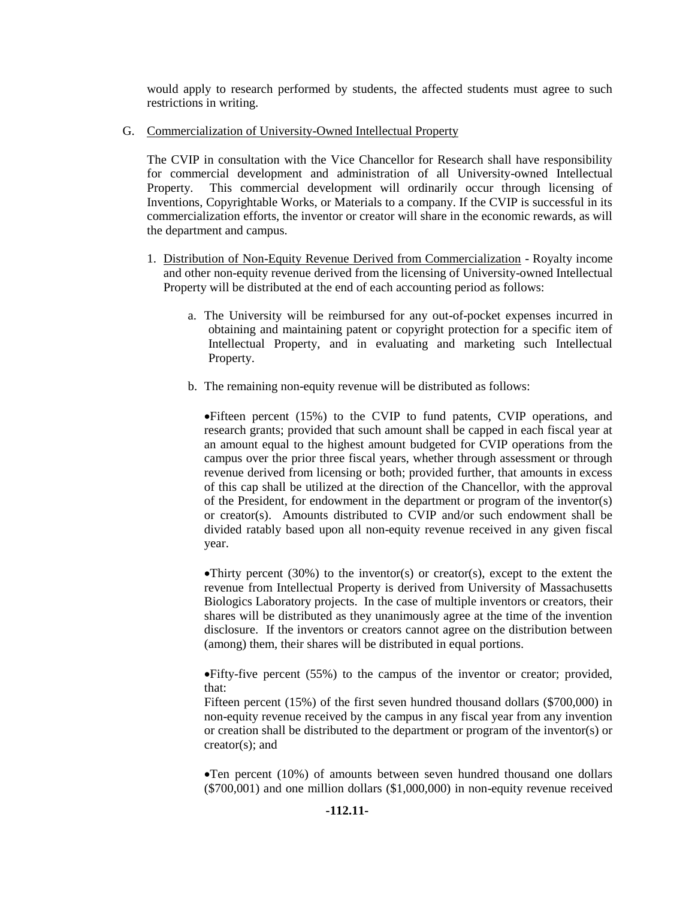would apply to research performed by students, the affected students must agree to such restrictions in writing.

G. Commercialization of University-Owned Intellectual Property

The CVIP in consultation with the Vice Chancellor for Research shall have responsibility for commercial development and administration of all University-owned Intellectual Property. This commercial development will ordinarily occur through licensing of Inventions, Copyrightable Works, or Materials to a company. If the CVIP is successful in its commercialization efforts, the inventor or creator will share in the economic rewards, as will the department and campus.

- 1. Distribution of Non-Equity Revenue Derived from Commercialization Royalty income and other non-equity revenue derived from the licensing of University-owned Intellectual Property will be distributed at the end of each accounting period as follows:
	- a. The University will be reimbursed for any out-of-pocket expenses incurred in obtaining and maintaining patent or copyright protection for a specific item of Intellectual Property, and in evaluating and marketing such Intellectual Property.
	- b. The remaining non-equity revenue will be distributed as follows:

Fifteen percent (15%) to the CVIP to fund patents, CVIP operations, and research grants; provided that such amount shall be capped in each fiscal year at an amount equal to the highest amount budgeted for CVIP operations from the campus over the prior three fiscal years, whether through assessment or through revenue derived from licensing or both; provided further, that amounts in excess of this cap shall be utilized at the direction of the Chancellor, with the approval of the President, for endowment in the department or program of the inventor(s) or creator(s). Amounts distributed to CVIP and/or such endowment shall be divided ratably based upon all non-equity revenue received in any given fiscal year.

• Thirty percent  $(30\%)$  to the inventor(s) or creator(s), except to the extent the revenue from Intellectual Property is derived from University of Massachusetts Biologics Laboratory projects. In the case of multiple inventors or creators, their shares will be distributed as they unanimously agree at the time of the invention disclosure. If the inventors or creators cannot agree on the distribution between (among) them, their shares will be distributed in equal portions.

Fifty-five percent (55%) to the campus of the inventor or creator; provided, that:

Fifteen percent (15%) of the first seven hundred thousand dollars (\$700,000) in non-equity revenue received by the campus in any fiscal year from any invention or creation shall be distributed to the department or program of the inventor(s) or creator(s); and

Ten percent (10%) of amounts between seven hundred thousand one dollars (\$700,001) and one million dollars (\$1,000,000) in non-equity revenue received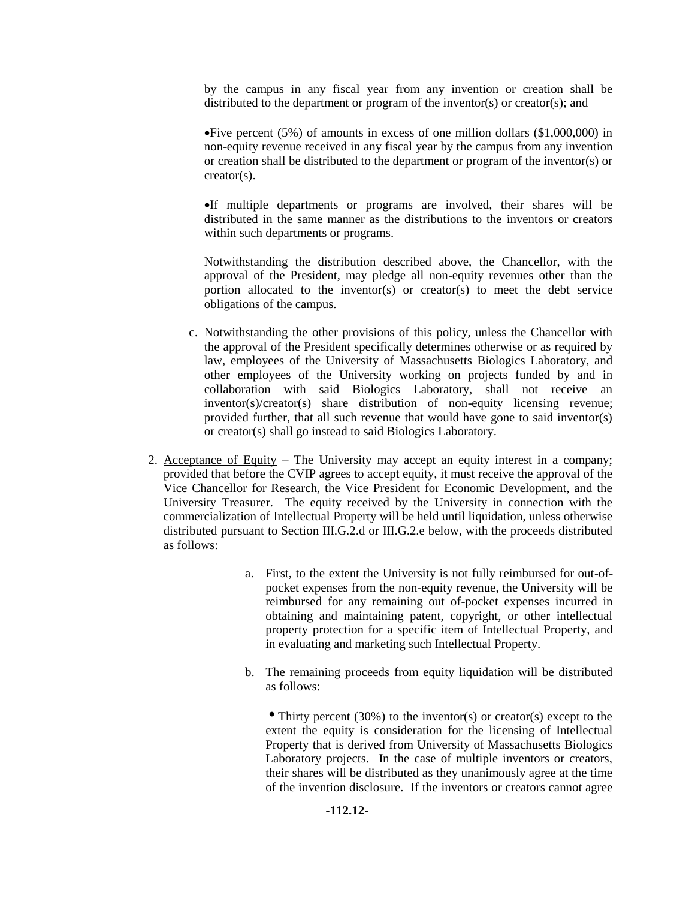by the campus in any fiscal year from any invention or creation shall be distributed to the department or program of the inventor(s) or creator(s); and

Five percent  $(5\%)$  of amounts in excess of one million dollars  $(\$1,000,000)$  in non-equity revenue received in any fiscal year by the campus from any invention or creation shall be distributed to the department or program of the inventor(s) or creator(s).

If multiple departments or programs are involved, their shares will be distributed in the same manner as the distributions to the inventors or creators within such departments or programs.

Notwithstanding the distribution described above, the Chancellor, with the approval of the President, may pledge all non-equity revenues other than the portion allocated to the inventor(s) or creator(s) to meet the debt service obligations of the campus.

- c. Notwithstanding the other provisions of this policy, unless the Chancellor with the approval of the President specifically determines otherwise or as required by law, employees of the University of Massachusetts Biologics Laboratory, and other employees of the University working on projects funded by and in collaboration with said Biologics Laboratory, shall not receive an inventor(s)/creator(s) share distribution of non-equity licensing revenue; provided further, that all such revenue that would have gone to said inventor(s) or creator(s) shall go instead to said Biologics Laboratory.
- 2. Acceptance of Equity The University may accept an equity interest in a company; provided that before the CVIP agrees to accept equity, it must receive the approval of the Vice Chancellor for Research, the Vice President for Economic Development, and the University Treasurer. The equity received by the University in connection with the commercialization of Intellectual Property will be held until liquidation, unless otherwise distributed pursuant to Section III.G.2.d or III.G.2.e below, with the proceeds distributed as follows:
	- a. First, to the extent the University is not fully reimbursed for out-ofpocket expenses from the non-equity revenue, the University will be reimbursed for any remaining out of-pocket expenses incurred in obtaining and maintaining patent, copyright, or other intellectual property protection for a specific item of Intellectual Property, and in evaluating and marketing such Intellectual Property.
	- b. The remaining proceeds from equity liquidation will be distributed as follows:

• Thirty percent (30%) to the inventor(s) or creator(s) except to the extent the equity is consideration for the licensing of Intellectual Property that is derived from University of Massachusetts Biologics Laboratory projects. In the case of multiple inventors or creators, their shares will be distributed as they unanimously agree at the time of the invention disclosure. If the inventors or creators cannot agree

#### **-112.12-**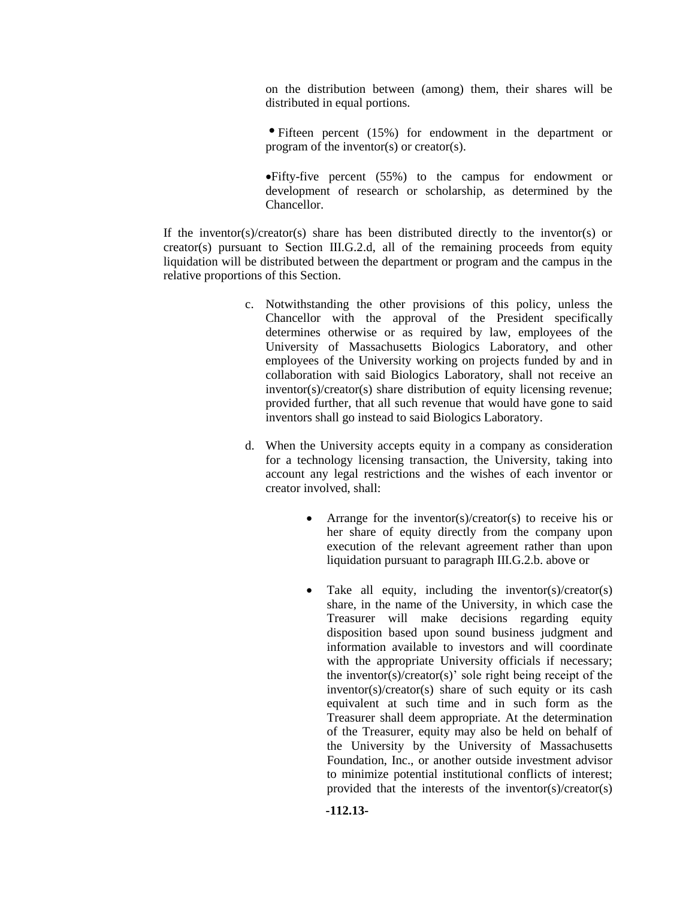on the distribution between (among) them, their shares will be distributed in equal portions.

• Fifteen percent (15%) for endowment in the department or program of the inventor(s) or creator(s).

Fifty-five percent (55%) to the campus for endowment or development of research or scholarship, as determined by the Chancellor.

If the inventor(s)/creator(s) share has been distributed directly to the inventor(s) or creator(s) pursuant to Section III.G.2.d, all of the remaining proceeds from equity liquidation will be distributed between the department or program and the campus in the relative proportions of this Section.

- c. Notwithstanding the other provisions of this policy, unless the Chancellor with the approval of the President specifically determines otherwise or as required by law, employees of the University of Massachusetts Biologics Laboratory, and other employees of the University working on projects funded by and in collaboration with said Biologics Laboratory, shall not receive an inventor(s)/creator(s) share distribution of equity licensing revenue; provided further, that all such revenue that would have gone to said inventors shall go instead to said Biologics Laboratory.
- d. When the University accepts equity in a company as consideration for a technology licensing transaction, the University, taking into account any legal restrictions and the wishes of each inventor or creator involved, shall:
	- Arrange for the inventor(s)/creator(s) to receive his or her share of equity directly from the company upon execution of the relevant agreement rather than upon liquidation pursuant to paragraph III.G.2.b. above or
	- Take all equity, including the inventor(s)/creator(s) share, in the name of the University, in which case the Treasurer will make decisions regarding equity disposition based upon sound business judgment and information available to investors and will coordinate with the appropriate University officials if necessary; the inventor(s)/creator(s)' sole right being receipt of the inventor(s)/creator(s) share of such equity or its cash equivalent at such time and in such form as the Treasurer shall deem appropriate. At the determination of the Treasurer, equity may also be held on behalf of the University by the University of Massachusetts Foundation, Inc., or another outside investment advisor to minimize potential institutional conflicts of interest; provided that the interests of the inventor(s)/creator(s)